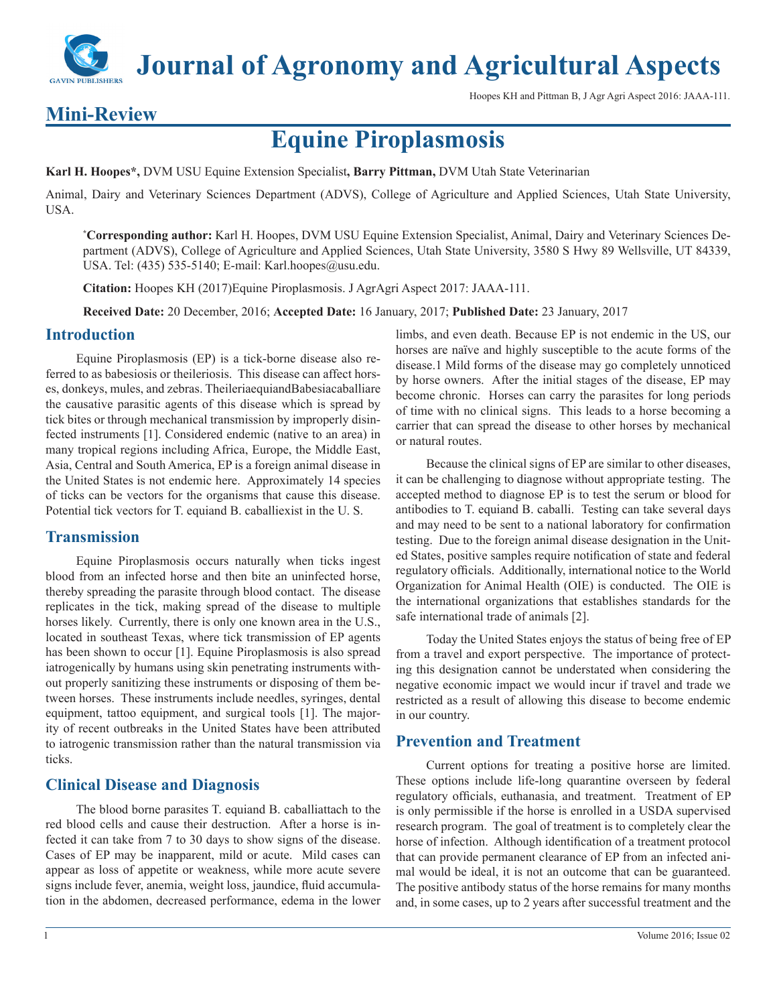**Journal of Agronomy and Agricultural Aspects**

Hoopes KH and Pittman B, J Agr Agri Aspect 2016: JAAA-111.

## **Mini-Review**

# **Equine Piroplasmosis**

**Karl H. Hoopes\*,** DVM USU Equine Extension Specialist**, Barry Pittman,** DVM Utah State Veterinarian

Animal, Dairy and Veterinary Sciences Department (ADVS), College of Agriculture and Applied Sciences, Utah State University, USA.

**\* Corresponding author:** Karl H. Hoopes, DVM USU Equine Extension Specialist, Animal, Dairy and Veterinary Sciences Department (ADVS), College of Agriculture and Applied Sciences, Utah State University, 3580 S Hwy 89 Wellsville, UT 84339, USA. Tel: (435) 535-5140; E-mail: Karl.hoopes@usu.edu.

**Citation:** Hoopes KH (2017)Equine Piroplasmosis. J AgrAgri Aspect 2017: JAAA-111.

**Received Date:** 20 December, 2016; **Accepted Date:** 16 January, 2017; **Published Date:** 23 January, 2017

#### **Introduction**

Equine Piroplasmosis (EP) is a tick-borne disease also referred to as babesiosis or theileriosis. This disease can affect horses, donkeys, mules, and zebras. TheileriaequiandBabesiacaballiare the causative parasitic agents of this disease which is spread by tick bites or through mechanical transmission by improperly disinfected instruments [1]. Considered endemic (native to an area) in many tropical regions including Africa, Europe, the Middle East, Asia, Central and South America, EP is a foreign animal disease in the United States is not endemic here. Approximately 14 species of ticks can be vectors for the organisms that cause this disease. Potential tick vectors for T. equiand B. caballiexist in the U. S.

#### **Transmission**

Equine Piroplasmosis occurs naturally when ticks ingest blood from an infected horse and then bite an uninfected horse, thereby spreading the parasite through blood contact. The disease replicates in the tick, making spread of the disease to multiple horses likely. Currently, there is only one known area in the U.S., located in southeast Texas, where tick transmission of EP agents has been shown to occur [1]. Equine Piroplasmosis is also spread iatrogenically by humans using skin penetrating instruments without properly sanitizing these instruments or disposing of them between horses. These instruments include needles, syringes, dental equipment, tattoo equipment, and surgical tools [1]. The majority of recent outbreaks in the United States have been attributed to iatrogenic transmission rather than the natural transmission via ticks.

#### **Clinical Disease and Diagnosis**

The blood borne parasites T. equiand B. caballiattach to the red blood cells and cause their destruction. After a horse is infected it can take from 7 to 30 days to show signs of the disease. Cases of EP may be inapparent, mild or acute. Mild cases can appear as loss of appetite or weakness, while more acute severe signs include fever, anemia, weight loss, jaundice, fluid accumulation in the abdomen, decreased performance, edema in the lower limbs, and even death. Because EP is not endemic in the US, our horses are naïve and highly susceptible to the acute forms of the disease.1 Mild forms of the disease may go completely unnoticed by horse owners. After the initial stages of the disease, EP may become chronic. Horses can carry the parasites for long periods of time with no clinical signs. This leads to a horse becoming a carrier that can spread the disease to other horses by mechanical or natural routes.

Because the clinical signs of EP are similar to other diseases, it can be challenging to diagnose without appropriate testing. The accepted method to diagnose EP is to test the serum or blood for antibodies to T. equiand B. caballi. Testing can take several days and may need to be sent to a national laboratory for confirmation testing. Due to the foreign animal disease designation in the United States, positive samples require notification of state and federal regulatory officials. Additionally, international notice to the World Organization for Animal Health (OIE) is conducted. The OIE is the international organizations that establishes standards for the safe international trade of animals [2].

Today the United States enjoys the status of being free of EP from a travel and export perspective. The importance of protecting this designation cannot be understated when considering the negative economic impact we would incur if travel and trade we restricted as a result of allowing this disease to become endemic in our country.

#### **Prevention and Treatment**

Current options for treating a positive horse are limited. These options include life-long quarantine overseen by federal regulatory officials, euthanasia, and treatment. Treatment of EP is only permissible if the horse is enrolled in a USDA supervised research program. The goal of treatment is to completely clear the horse of infection. Although identification of a treatment protocol that can provide permanent clearance of EP from an infected animal would be ideal, it is not an outcome that can be guaranteed. The positive antibody status of the horse remains for many months and, in some cases, up to 2 years after successful treatment and the